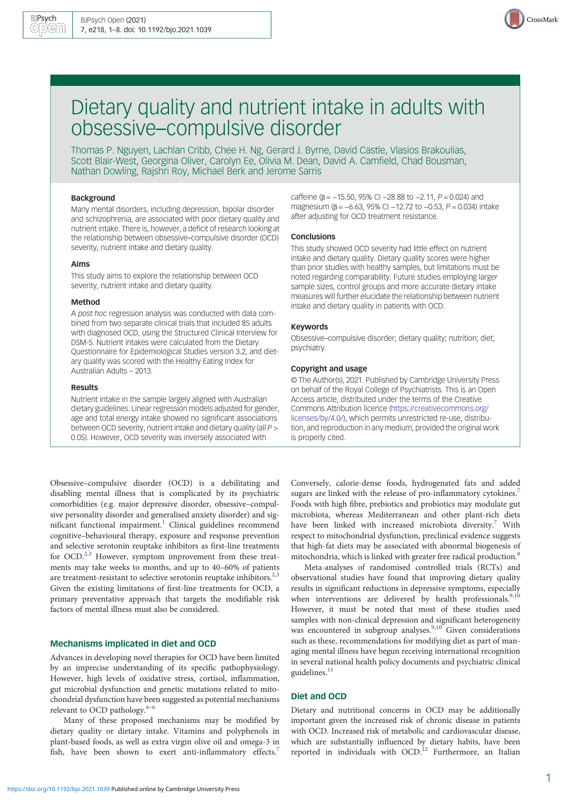

# Dietary quality and nutrient intake in adults with obsessive–compulsive disorder

Thomas P. Nguyen, Lachlan Cribb, Chee H. Ng, Gerard J. Byrne, David Castle, Vlasios Brakoulias, Scott Blair-West, Georgina Oliver, Carolyn Ee, Olivia M. Dean, David A. Camfield, Chad Bousman, Nathan Dowling, Rajshri Roy, Michael Berk and Jerome Sarris

## Background

Many mental disorders, including depression, bipolar disorder and schizophrenia, are associated with poor dietary quality and nutrient intake. There is, however, a deficit of research looking at the relationship between obsessive–compulsive disorder (OCD) severity, nutrient intake and dietary quality.

# Aims

This study aims to explore the relationship between OCD severity, nutrient intake and dietary quality.

#### Method

A post hoc regression analysis was conducted with data combined from two separate clinical trials that included 85 adults with diagnosed OCD, using the Structured Clinical Interview for DSM-5. Nutrient intakes were calculated from the Dietary Questionnaire for Epidemiological Studies version 3.2, and dietary quality was scored with the Healthy Eating Index for Australian Adults – 2013.

#### Results

Nutrient intake in the sample largely aligned with Australian dietary guidelines. Linear regression models adjusted for gender, age and total energy intake showed no significant associations between OCD severity, nutrient intake and dietary quality (all P > 0.05). However, OCD severity was inversely associated with

Obsessive–compulsive disorder (OCD) is a debilitating and disabling mental illness that is complicated by its psychiatric comorbidities (e.g. major depressive disorder, obsessive–compulsive personality disorder and generalised anxiety disorder) and sig-nificant functional impairment.<sup>[1](#page-6-0)</sup> Clinical guidelines recommend cognitive–behavioural therapy, exposure and response prevention and selective serotonin reuptake inhibitors as first-line treatments for OCD.<sup>2,[3](#page-6-0)</sup> However, symptom improvement from these treatments may take weeks to months, and up to 40–60% of patients are treatment-resistant to selective serotonin reuptake inhibitors.<sup>[2,3](#page-6-0)</sup> Given the existing limitations of first-line treatments for OCD, a primary preventative approach that targets the modifiable risk factors of mental illness must also be considered.

# Mechanisms implicated in diet and OCD

Advances in developing novel therapies for OCD have been limited by an imprecise understanding of its specific pathophysiology. However, high levels of oxidative stress, cortisol, inflammation, gut microbial dysfunction and genetic mutations related to mitochondrial dysfunction have been suggested as potential mechanisms relevant to OCD pathology. $4-6$  $4-6$  $4-6$ 

Many of these proposed mechanisms may be modified by dietary quality or dietary intake. Vitamins and polyphenols in plant-based foods, as well as extra virgin olive oil and omega-3 in fish, have been shown to exert anti-inflammatory effects.<sup>[7](#page-6-0)</sup>

caffeine ( $\beta$  = -15.50, 95% CI -28.88 to -2.11, P = 0.024) and magnesium ( $\beta = -6.63$ , 95% CI −12.72 to −0.53, P = 0.034) intake after adjusting for OCD treatment resistance.

#### Conclusions

This study showed OCD severity had little effect on nutrient intake and dietary quality. Dietary quality scores were higher than prior studies with healthy samples, but limitations must be noted regarding comparability. Future studies employing larger sample sizes, control groups and more accurate dietary intake measures will further elucidate the relationship between nutrient intake and dietary quality in patients with OCD.

## Keywords

Obsessive–compulsive disorder; dietary quality; nutrition; diet; psychiatry.

#### Copyright and usage

© The Author(s), 2021. Published by Cambridge University Press on behalf of the Royal College of Psychiatrists. This is an Open Access article, distributed under the terms of the Creative Commons Attribution licence [\(https://creativecommons.org/](https://creativecommons.org/licenses/by/4.0/) [licenses/by/4.0/](https://creativecommons.org/licenses/by/4.0/)), which permits unrestricted re-use, distribution, and reproduction in any medium, provided the original work is properly cited.

Conversely, calorie-dense foods, hydrogenated fats and added sugars are linked with the release of pro-inflammatory cytokines.<sup>[7](#page-6-0)</sup> Foods with high fibre, prebiotics and probiotics may modulate gut microbiota, whereas Mediterranean and other plant-rich diets have been linked with increased microbiota diversity.<sup>[7](#page-6-0)</sup> With respect to mitochondrial dysfunction, preclinical evidence suggests that high-fat diets may be associated with abnormal biogenesis of mitochondria, which is linked with greater free radical production.<sup>8</sup>

Meta-analyses of randomised controlled trials (RCTs) and observational studies have found that improving dietary quality results in significant reductions in depressive symptoms, especially when interventions are delivered by health professionals.<sup>[9,10](#page-6-0)</sup> However, it must be noted that most of these studies used samples with non-clinical depression and significant heterogeneity was encountered in subgroup analyses.<sup>9,10</sup> Given considerations such as these, recommendations for modifying diet as part of managing mental illness have begun receiving international recognition in several national health policy documents and psychiatric clinical guidelines.<sup>[11](#page-6-0)</sup>

# Diet and OCD

Dietary and nutritional concerns in OCD may be additionally important given the increased risk of chronic disease in patients with OCD. Increased risk of metabolic and cardiovascular disease, which are substantially influenced by dietary habits, have been reported in individuals with OCD.<sup>[12](#page-6-0)</sup> Furthermore, an Italian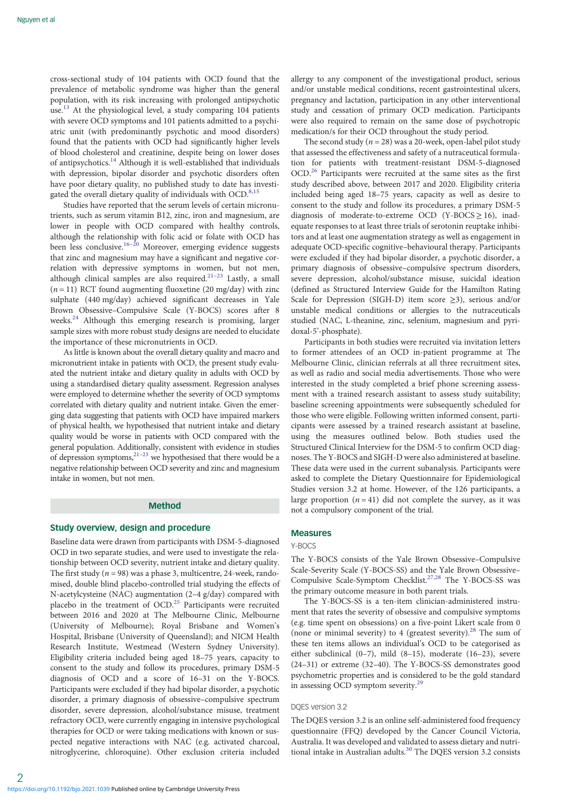cross-sectional study of 104 patients with OCD found that the prevalence of metabolic syndrome was higher than the general population, with its risk increasing with prolonged antipsychotic use.<sup>[13](#page-6-0)</sup> At the physiological level, a study comparing 104 patients with severe OCD symptoms and 101 patients admitted to a psychiatric unit (with predominantly psychotic and mood disorders) found that the patients with OCD had significantly higher levels of blood cholesterol and creatinine, despite being on lower doses of antipsychotics.[14](#page-6-0) Although it is well-established that individuals with depression, bipolar disorder and psychotic disorders often have poor dietary quality, no published study to date has investi-gated the overall dietary quality of individuals with OCD.<sup>[8,15](#page-6-0)</sup>

Studies have reported that the serum levels of certain micronutrients, such as serum vitamin B12, zinc, iron and magnesium, are lower in people with OCD compared with healthy controls, although the relationship with folic acid or folate with OCD has been less conclusive.<sup>[16](#page-6-0)–[20](#page-6-0)</sup> Moreover, emerging evidence suggests that zinc and magnesium may have a significant and negative correlation with depressive symptoms in women, but not men, although clinical samples are also required.<sup>[21](#page-6-0)–[23](#page-6-0)</sup> Lastly, a small  $(n = 11)$  RCT found augmenting fluoxetine (20 mg/day) with zinc sulphate (440 mg/day) achieved significant decreases in Yale Brown Obsessive–Compulsive Scale (Y-BOCS) scores after 8 weeks.[24](#page-7-0) Although this emerging research is promising, larger sample sizes with more robust study designs are needed to elucidate the importance of these micronutrients in OCD.

As little is known about the overall dietary quality and macro and micronutrient intake in patients with OCD, the present study evaluated the nutrient intake and dietary quality in adults with OCD by using a standardised dietary quality assessment. Regression analyses were employed to determine whether the severity of OCD symptoms correlated with dietary quality and nutrient intake. Given the emerging data suggesting that patients with OCD have impaired markers of physical health, we hypothesised that nutrient intake and dietary quality would be worse in patients with OCD compared with the general population. Additionally, consistent with evidence in studies of depression symptoms,  $2^{1-23}$  $2^{1-23}$  $2^{1-23}$  we hypothesised that there would be a negative relationship between OCD severity and zinc and magnesium intake in women, but not men.

# Method

## Study overview, design and procedure

Baseline data were drawn from participants with DSM-5-diagnosed OCD in two separate studies, and were used to investigate the relationship between OCD severity, nutrient intake and dietary quality. The first study ( $n = 98$ ) was a phase 3, multicentre, 24-week, randomised, double blind placebo-controlled trial studying the effects of N-acetylcysteine (NAC) augmentation (2–4 g/day) compared with placebo in the treatment of OCD.<sup>[25](#page-7-0)</sup> Participants were recruited between 2016 and 2020 at The Melbourne Clinic, Melbourne (University of Melbourne); Royal Brisbane and Women's Hospital, Brisbane (University of Queensland); and NICM Health Research Institute, Westmead (Western Sydney University). Eligibility criteria included being aged 18–75 years, capacity to consent to the study and follow its procedures, primary DSM-5 diagnosis of OCD and a score of 16–31 on the Y-BOCS. Participants were excluded if they had bipolar disorder, a psychotic disorder, a primary diagnosis of obsessive–compulsive spectrum disorder, severe depression, alcohol/substance misuse, treatment refractory OCD, were currently engaging in intensive psychological therapies for OCD or were taking medications with known or suspected negative interactions with NAC (e.g. activated charcoal, nitroglycerine, chloroquine). Other exclusion criteria included

allergy to any component of the investigational product, serious and/or unstable medical conditions, recent gastrointestinal ulcers, pregnancy and lactation, participation in any other interventional study and cessation of primary OCD medication. Participants were also required to remain on the same dose of psychotropic medication/s for their OCD throughout the study period.

The second study ( $n = 28$ ) was a 20-week, open-label pilot study that assessed the effectiveness and safety of a nutraceutical formulation for patients with treatment-resistant DSM-5-diagnosed OCD.[26](#page-7-0) Participants were recruited at the same sites as the first study described above, between 2017 and 2020. Eligibility criteria included being aged 18–75 years, capacity as well as desire to consent to the study and follow its procedures, a primary DSM-5 diagnosis of moderate-to-extreme OCD (Y-BOCS  $\geq$  16), inadequate responses to at least three trials of serotonin reuptake inhibitors and at least one augmentation strategy as well as engagement in adequate OCD-specific cognitive–behavioural therapy. Participants were excluded if they had bipolar disorder, a psychotic disorder, a primary diagnosis of obsessive–compulsive spectrum disorders, severe depression, alcohol/substance misuse, suicidal ideation (defined as Structured Interview Guide for the Hamilton Rating Scale for Depression (SIGH-D) item score ≥3), serious and/or unstable medical conditions or allergies to the nutraceuticals studied (NAC, L-theanine, zinc, selenium, magnesium and pyridoxal-5'-phosphate).

Participants in both studies were recruited via invitation letters to former attendees of an OCD in-patient programme at The Melbourne Clinic, clinician referrals at all three recruitment sites, as well as radio and social media advertisements. Those who were interested in the study completed a brief phone screening assessment with a trained research assistant to assess study suitability; baseline screening appointments were subsequently scheduled for those who were eligible. Following written informed consent, participants were assessed by a trained research assistant at baseline, using the measures outlined below. Both studies used the Structured Clinical Interview for the DSM-5 to confirm OCD diagnoses. The Y-BOCS and SIGH-D were also administered at baseline. These data were used in the current subanalysis. Participants were asked to complete the Dietary Questionnaire for Epidemiological Studies version 3.2 at home. However, of the 126 participants, a large proportion  $(n = 41)$  did not complete the survey, as it was not a compulsory component of the trial.

# Measures

#### Y-BOCS

The Y-BOCS consists of the Yale Brown Obsessive–Compulsive Scale-Severity Scale (Y-BOCS-SS) and the Yale Brown Obsessive– Compulsive Scale-Symptom Checklist.[27,28](#page-7-0) The Y-BOCS-SS was the primary outcome measure in both parent trials.

The Y-BOCS-SS is a ten-item clinician-administered instrument that rates the severity of obsessive and compulsive symptoms (e.g. time spent on obsessions) on a five-point Likert scale from 0 (none or minimal severity) to 4 (greatest severity).<sup>[28](#page-7-0)</sup> The sum of these ten items allows an individual's OCD to be categorised as either subclinical (0–7), mild (8–15), moderate (16–23), severe (24–31) or extreme (32–40). The Y-BOCS-SS demonstrates good psychometric properties and is considered to be the gold standard in assessing OCD symptom severity.<sup>[29](#page-7-0)</sup>

# DOES version 3.2

The DQES version 3.2 is an online self-administered food frequency questionnaire (FFQ) developed by the Cancer Council Victoria, Australia. It was developed and validated to assess dietary and nutri-tional intake in Australian adults.<sup>[30](#page-7-0)</sup> The DQES version 3.2 consists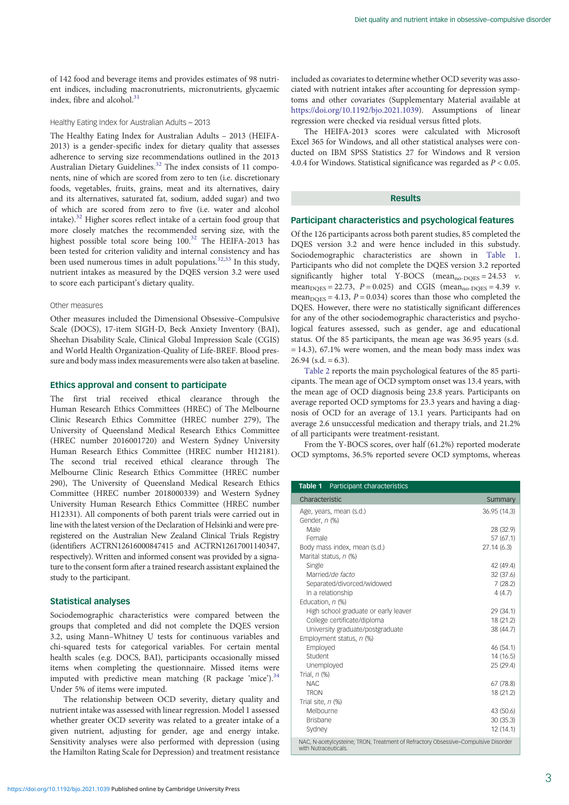of 142 food and beverage items and provides estimates of 98 nutrient indices, including macronutrients, micronutrients, glycaemic index, fibre and alcohol.<sup>[31](#page-7-0)</sup>

#### Healthy Eating Index for Australian Adults – 2013

The Healthy Eating Index for Australian Adults – 2013 (HEIFA-2013) is a gender-specific index for dietary quality that assesses adherence to serving size recommendations outlined in the 2013 Australian Dietary Guidelines.<sup>[32](#page-7-0)</sup> The index consists of 11 components, nine of which are scored from zero to ten (i.e. discretionary foods, vegetables, fruits, grains, meat and its alternatives, dairy and its alternatives, saturated fat, sodium, added sugar) and two of which are scored from zero to five (i.e. water and alcohol intake).[32](#page-7-0) Higher scores reflect intake of a certain food group that more closely matches the recommended serving size, with the highest possible total score being 100.<sup>[32](#page-7-0)</sup> The HEIFA-2013 has been tested for criterion validity and internal consistency and has been used numerous times in adult populations. $32,33$  $32,33$  $32,33$  In this study, nutrient intakes as measured by the DQES version 3.2 were used to score each participant's dietary quality.

## Other measures

Other measures included the Dimensional Obsessive–Compulsive Scale (DOCS), 17-item SIGH-D, Beck Anxiety Inventory (BAI), Sheehan Disability Scale, Clinical Global Impression Scale (CGIS) and World Health Organization-Quality of Life-BREF. Blood pressure and body mass index measurements were also taken at baseline.

# Ethics approval and consent to participate

The first trial received ethical clearance through the Human Research Ethics Committees (HREC) of The Melbourne Clinic Research Ethics Committee (HREC number 279), The University of Queensland Medical Research Ethics Committee (HREC number 2016001720) and Western Sydney University Human Research Ethics Committee (HREC number H12181). The second trial received ethical clearance through The Melbourne Clinic Research Ethics Committee (HREC number 290), The University of Queensland Medical Research Ethics Committee (HREC number 2018000339) and Western Sydney University Human Research Ethics Committee (HREC number H12331). All components of both parent trials were carried out in line with the latest version of the Declaration of Helsinki and were preregistered on the Australian New Zealand Clinical Trials Registry (identifiers ACTRN12616000847415 and ACTRN12617001140347, respectively). Written and informed consent was provided by a signature to the consent form after a trained research assistant explained the study to the participant.

# Statistical analyses

Sociodemographic characteristics were compared between the groups that completed and did not complete the DQES version 3.2, using Mann–Whitney U tests for continuous variables and chi-squared tests for categorical variables. For certain mental health scales (e.g. DOCS, BAI), participants occasionally missed items when completing the questionnaire. Missed items were imputed with predictive mean matching  $(R$  package 'mice').<sup>34</sup> Under 5% of items were imputed.

The relationship between OCD severity, dietary quality and nutrient intake was assessed with linear regression. Model 1 assessed whether greater OCD severity was related to a greater intake of a given nutrient, adjusting for gender, age and energy intake. Sensitivity analyses were also performed with depression (using the Hamilton Rating Scale for Depression) and treatment resistance

The HEIFA-2013 scores were calculated with Microsoft Excel 365 for Windows, and all other statistical analyses were conducted on IBM SPSS Statistics 27 for Windows and R version 4.0.4 for Windows. Statistical significance was regarded as  $P < 0.05$ .

# **Results**

included as covariates to determine whether OCD severity was associated with nutrient intakes after accounting for depression symptoms and other covariates (Supplementary Material available at <https://doi.org/10.1192/bjo.2021.1039>). Assumptions of linear

regression were checked via residual versus fitted plots.

## Participant characteristics and psychological features

Of the 126 participants across both parent studies, 85 completed the DQES version 3.2 and were hence included in this substudy. Sociodemographic characteristics are shown in Table 1. Participants who did not complete the DQES version 3.2 reported significantly higher total Y-BOCS (mean<sub>no-DQES</sub> = 24.53  $v$ . mean<sub>DOES</sub> = 22.73,  $P = 0.025$ ) and CGIS (mean<sub>no-DOES</sub> = 4.39  $v$ . mean $_{\text{DOES}}$  = 4.13, P = 0.034) scores than those who completed the DQES. However, there were no statistically significant differences for any of the other sociodemographic characteristics and psychological features assessed, such as gender, age and educational status. Of the 85 participants, the mean age was 36.95 years (s.d.  $= 14.3$ ), 67.1% were women, and the mean body mass index was  $26.94$  (s.d. = 6.3).

[Table 2](#page-3-0) reports the main psychological features of the 85 participants. The mean age of OCD symptom onset was 13.4 years, with the mean age of OCD diagnosis being 23.8 years. Participants on average reported OCD symptoms for 23.3 years and having a diagnosis of OCD for an average of 13.1 years. Participants had on average 2.6 unsuccessful medication and therapy trials, and 21.2% of all participants were treatment-resistant.

From the Y-BOCS scores, over half (61.2%) reported moderate OCD symptoms, 36.5% reported severe OCD symptoms, whereas

| Table 1 Participant characteristics                                                                        |              |
|------------------------------------------------------------------------------------------------------------|--------------|
| Characteristic                                                                                             | Summary      |
| Age, years, mean (s.d.)                                                                                    | 36.95 (14.3) |
| Gender, n (%)                                                                                              |              |
| Male                                                                                                       | 28 (32.9)    |
| Female                                                                                                     | 57 (67.1)    |
| Body mass index, mean (s.d.)                                                                               | 27.14 (6.3)  |
| Marital status, n (%)                                                                                      |              |
| Single                                                                                                     | 42 (49.4)    |
| Married/de facto                                                                                           | 32 (37.6)    |
| Separated/divorced/widowed                                                                                 | 7(28.2)      |
| In a relationship                                                                                          | 4(4.7)       |
| Education, n (%)                                                                                           |              |
| High school graduate or early leaver                                                                       | 29 (34.1)    |
| College certificate/diploma                                                                                | 18 (21.2)    |
| University graduate/postgraduate                                                                           | 38 (44.7)    |
| Employment status, n (%)                                                                                   |              |
| Employed                                                                                                   | 46 (54.1)    |
| Student                                                                                                    | 14 (16.5)    |
| Unemployed                                                                                                 | 25 (29.4)    |
| Trial, $n$ $%$                                                                                             |              |
| <b>NAC</b>                                                                                                 | 67 (78.8)    |
| <b>TRON</b>                                                                                                | 18 (21.2)    |
| Trial site, $n$ (%)                                                                                        |              |
| Melbourne                                                                                                  | 43 (50.6)    |
| <b>Brisbane</b>                                                                                            | 30(35.3)     |
| Sydney                                                                                                     | 12 (14.1)    |
| NAC, N-acetylcysteine; TRON, Treatment of Refractory Obsessive-Compulsive Disorder<br>with Nutraceuticals. |              |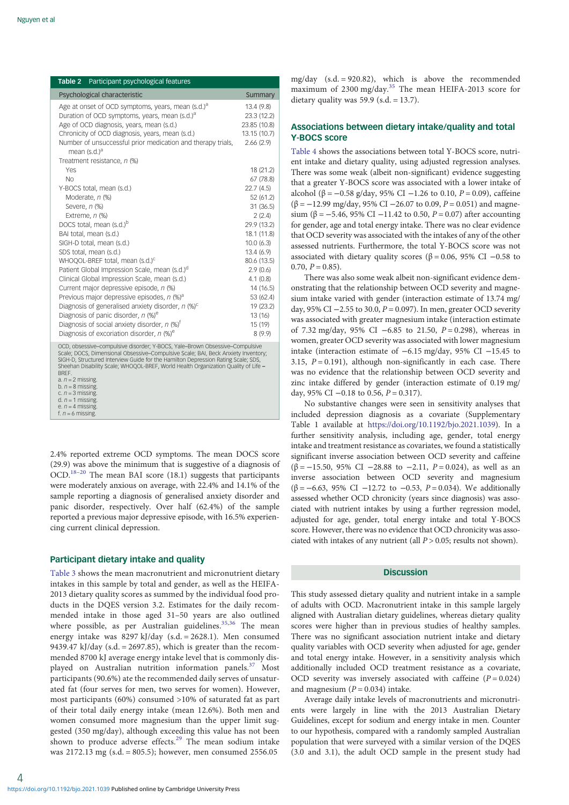<span id="page-3-0"></span>

| Table 2 Participant psychological features                                              |              |
|-----------------------------------------------------------------------------------------|--------------|
| Psychological characteristic                                                            | Summary      |
| Age at onset of OCD symptoms, years, mean (s.d.) <sup>a</sup>                           | 13.4(9.8)    |
| Duration of OCD symptoms, years, mean (s.d.) <sup>a</sup>                               | 23.3 (12.2)  |
| Age of OCD diagnosis, years, mean (s.d.)                                                | 23.85 (10.8) |
| Chronicity of OCD diagnosis, years, mean (s.d.)                                         | 13.15 (10.7) |
| Number of unsuccessful prior medication and therapy trials,<br>mean (s.d.) <sup>a</sup> | 2.66(2.9)    |
| Treatment resistance, n (%)                                                             |              |
| Yes                                                                                     | 18 (21.2)    |
| N <sub>o</sub>                                                                          | 67 (78.8)    |
| Y-BOCS total, mean (s.d.)                                                               | 22.7 (4.5)   |
| Moderate, n (%)                                                                         | 52(61.2)     |
| Severe, n (%)                                                                           | 31(36.5)     |
| Extreme, $n$ (%)                                                                        | 2(2.4)       |
| DOCS total, mean (s.d.) <sup>b</sup>                                                    | 29.9 (13.2)  |
| BAI total, mean (s.d.)                                                                  | 18.1 (11.8)  |
| SIGH-D total, mean (s.d.)                                                               | 10.0(6.3)    |
| SDS total, mean (s.d.)                                                                  | 13.4(6.9)    |
| WHOQOL-BREF total, mean (s.d.) <sup>c</sup>                                             | 80.6 (13.5)  |
| Patient Global Impression Scale, mean (s.d.)d                                           | 2.9(0.6)     |
| Clinical Global Impression Scale, mean (s.d.)                                           | 4.1(0.8)     |
| Current major depressive episode, n (%)                                                 | 14 (16.5)    |
| Previous major depressive episodes, n (%) <sup>a</sup>                                  | 53 (62.4)    |
| Diagnosis of generalised anxiety disorder, $n$ (%) <sup>c</sup>                         | 19 (23.2)    |
| Diagnosis of panic disorder, $n$ (%) <sup>e</sup>                                       | 13(16)       |
| Diagnosis of social anxiety disorder, $n$ (%) <sup>t</sup>                              | 15 (19)      |
| Diagnosis of excoriation disorder, $n$ (%) <sup>e</sup>                                 | 8(9.9)       |
| OCD, obsessive-compulsive disorder; Y-BOCS, Yale-Brown Obsessive-Compulsive             |              |

OCD, obsessive–compulsive disorder; Y-BOCS, Yale–Brown Obsessive–Compulsive<br>Scale; DOCS, Dimensional Obsessive–Compulsive Scale; BAJ, Beck Anxiety Inventory;<br>SIGH-D, Structured Interview Guide for the Hamilton Depression R Sheehan Disability Scale; WHOOOL-BREF, World Health Organization Quality of Life – BREF.

c.  $n = 3$  missing.<br>d.  $n = 1$  missing.  $P = 4$  missing

f.  $n = 6$  missing.

2.4% reported extreme OCD symptoms. The mean DOCS score (29.9) was above the minimum that is suggestive of a diagnosis of OCD.[18](#page-6-0)–[20](#page-6-0) The mean BAI score (18.1) suggests that participants were moderately anxious on average, with 22.4% and 14.1% of the sample reporting a diagnosis of generalised anxiety disorder and panic disorder, respectively. Over half (62.4%) of the sample reported a previous major depressive episode, with 16.5% experiencing current clinical depression.

# Participant dietary intake and quality

<https://doi.org/10.1192/bjo.2021.1039>Published online by Cambridge University Press

[Table 3](#page-4-0) shows the mean macronutrient and micronutrient dietary intakes in this sample by total and gender, as well as the HEIFA-2013 dietary quality scores as summed by the individual food products in the DQES version 3.2. Estimates for the daily recommended intake in those aged 31–50 years are also outlined where possible, as per Australian guidelines.<sup>[35](#page-7-0),[36](#page-7-0)</sup> The mean energy intake was 8297 kJ/day (s.d. = 2628.1). Men consumed 9439.47 kJ/day (s.d.  $= 2697.85$ ), which is greater than the recommended 8700 kJ average energy intake level that is commonly dis-played on Australian nutrition information panels.<sup>[37](#page-7-0)</sup> Most participants (90.6%) ate the recommended daily serves of unsaturated fat (four serves for men, two serves for women). However, most participants (60%) consumed >10% of saturated fat as part of their total daily energy intake (mean 12.6%). Both men and women consumed more magnesium than the upper limit suggested (350 mg/day), although exceeding this value has not been shown to produce adverse effects.<sup>[29](#page-7-0)</sup> The mean sodium intake was 2172.13 mg (s.d. = 805.5); however, men consumed 2556.05

mg/day (s.d. = 920.82), which is above the recommended maximum of 2300 mg/day.[35](#page-7-0) The mean HEIFA-2013 score for dietary quality was  $59.9$  (s.d. = 13.7).

# Associations between dietary intake/quality and total Y-BOCS score

[Table 4](#page-5-0) shows the associations between total Y-BOCS score, nutrient intake and dietary quality, using adjusted regression analyses. There was some weak (albeit non-significant) evidence suggesting that a greater Y-BOCS score was associated with a lower intake of alcohol (β =  $-0.58$  g/day, 95% CI  $-1.26$  to 0.10, P = 0.09), caffeine  $(\beta = -12.99 \text{ mg/day}, 95\% \text{ CI} - 26.07 \text{ to } 0.09, P = 0.051)$  and magnesium (β =  $-5.46$ , 95% CI  $-11.42$  to 0.50, P = 0.07) after accounting for gender, age and total energy intake. There was no clear evidence that OCD severity was associated with the intakes of any of the other assessed nutrients. Furthermore, the total Y-BOCS score was not associated with dietary quality scores ( $β = 0.06$ , 95% CI -0.58 to  $0.70, P = 0.85$ ).

There was also some weak albeit non-significant evidence demonstrating that the relationship between OCD severity and magnesium intake varied with gender (interaction estimate of 13.74 mg/ day, 95% CI  $-2.55$  to 30.0,  $P = 0.097$ ). In men, greater OCD severity was associated with greater magnesium intake (interaction estimate of 7.32 mg/day, 95% CI −6.85 to 21.50,  $P = 0.298$ ), whereas in women, greater OCD severity was associated with lower magnesium intake (interaction estimate of −6.15 mg/day, 95% CI −15.45 to 3.15,  $P = 0.191$ ), although non-significantly in each case. There was no evidence that the relationship between OCD severity and zinc intake differed by gender (interaction estimate of 0.19 mg/ day, 95% CI  $-0.18$  to 0.56,  $P = 0.317$ ).

No substantive changes were seen in sensitivity analyses that included depression diagnosis as a covariate (Supplementary Table 1 available at <https://doi.org/10.1192/bjo.2021.1039>). In a further sensitivity analysis, including age, gender, total energy intake and treatment resistance as covariates, we found a statistically significant inverse association between OCD severity and caffeine  $(\beta = -15.50, 95\% \text{ CI } -28.88 \text{ to } -2.11, P = 0.024)$ , as well as an inverse association between OCD severity and magnesium ( $\beta$  = −6.63, 95% CI −12.72 to −0.53, P = 0.034). We additionally assessed whether OCD chronicity (years since diagnosis) was associated with nutrient intakes by using a further regression model, adjusted for age, gender, total energy intake and total Y-BOCS score. However, there was no evidence that OCD chronicity was associated with intakes of any nutrient (all  $P > 0.05$ ; results not shown).

# **Discussion**

This study assessed dietary quality and nutrient intake in a sample of adults with OCD. Macronutrient intake in this sample largely aligned with Australian dietary guidelines, whereas dietary quality scores were higher than in previous studies of healthy samples. There was no significant association nutrient intake and dietary quality variables with OCD severity when adjusted for age, gender and total energy intake. However, in a sensitivity analysis which additionally included OCD treatment resistance as a covariate, OCD severity was inversely associated with caffeine  $(P = 0.024)$ and magnesium  $(P = 0.034)$  intake.

Average daily intake levels of macronutrients and micronutrients were largely in line with the 2013 Australian Dietary Guidelines, except for sodium and energy intake in men. Counter to our hypothesis, compared with a randomly sampled Australian population that were surveyed with a similar version of the DQES (3.0 and 3.1), the adult OCD sample in the present study had

a.  $n = 2$  missing. b.  $n = 8$  missing.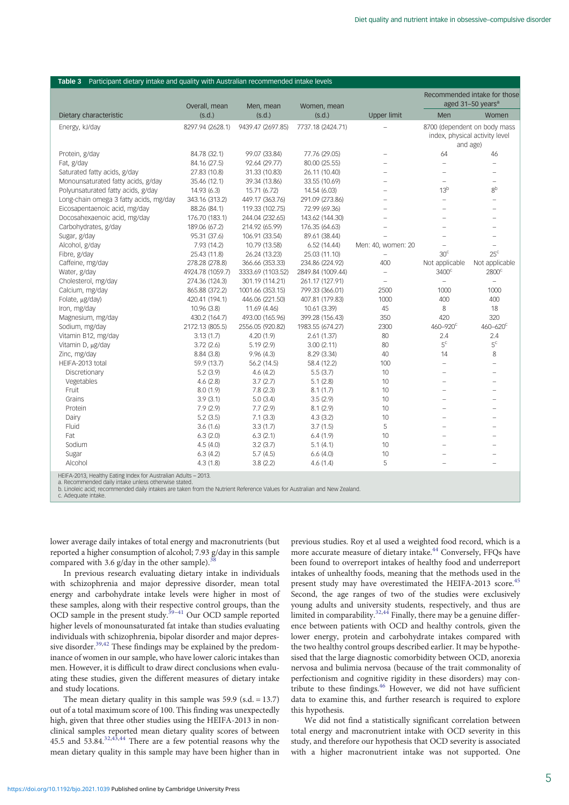|                                                                | Overall, mean    | Men, mean         | Women, mean       |                          |                          | Recommended intake for those<br>aged 31-50 years <sup>a</sup>              |
|----------------------------------------------------------------|------------------|-------------------|-------------------|--------------------------|--------------------------|----------------------------------------------------------------------------|
| Dietary characteristic                                         | (s.d.)           | (s.d.)            | (s.d.)            | <b>Upper limit</b>       | Men                      | Women                                                                      |
| Energy, kJ/day                                                 | 8297.94 (2628.1) | 9439.47 (2697.85) | 7737.18 (2424.71) |                          |                          | 8700 (dependent on body mass<br>index, physical activity level<br>and age) |
| Protein, g/day                                                 | 84.78 (32.1)     | 99.07 (33.84)     | 77.76 (29.05)     | $\equiv$                 | 64                       | 46                                                                         |
| Fat, g/day                                                     | 84.16 (27.5)     | 92.64 (29.77)     | 80.00 (25.55)     |                          |                          |                                                                            |
| Saturated fatty acids, g/day                                   | 27.83 (10.8)     | 31.33 (10.83)     | 26.11 (10.40)     | $\equiv$                 | $\equiv$                 | $\overline{\phantom{0}}$                                                   |
| Monounsaturated fatty acids, g/day                             | 35.46 (12.1)     | 39.34 (13.86)     | 33.55 (10.69)     | $\equiv$                 | $\equiv$                 | $\equiv$                                                                   |
| Polyunsaturated fatty acids, g/day                             | 14.93 (6.3)      | 15.71 (6.72)      | 14.54 (6.03)      | ÷                        | 13 <sup>b</sup>          | 8 <sup>b</sup>                                                             |
| Long-chain omega 3 fatty acids, mg/day                         | 343.16 (313.2)   | 449.17 (363.76)   | 291.09 (273.86)   | L.                       | $\overline{\phantom{0}}$ | $\overline{\phantom{0}}$                                                   |
| Eicosapentaenoic acid, mg/day                                  | 88.26 (84.1)     | 119.33 (102.75)   | 72.99 (69.36)     | $\equiv$                 | $\equiv$                 | $\overline{\phantom{0}}$                                                   |
| Docosahexaenoic acid, mg/day                                   | 176.70 (183.1)   | 244.04 (232.65)   | 143.62 (144.30)   | ÷                        | L,                       |                                                                            |
| Carbohydrates, g/day                                           | 189.06 (67.2)    | 214.92 (65.99)    | 176.35 (64.63)    | $\equiv$                 | $\equiv$                 |                                                                            |
| Sugar, g/day                                                   | 95.31 (37.6)     | 106.91 (33.54)    | 89.61 (38.44)     |                          |                          | $\equiv$                                                                   |
| Alcohol, g/day                                                 | 7.93 (14.2)      | 10.79 (13.58)     | 6.52(14.44)       | Men: 40, women: 20       | $\equiv$                 |                                                                            |
| Fibre, g/day                                                   | 25.43 (11.8)     | 26.24 (13.23)     | 25.03 (11.10)     | $\qquad \qquad -$        | 30 <sup>c</sup>          | $25^{\circ}$                                                               |
| Caffeine, mg/day                                               | 278.28 (278.8)   | 366.66 (353.33)   | 234.86 (224.92)   | 400                      | Not applicable           | Not applicable                                                             |
| Water, g/day                                                   | 4924.78 (1059.7) | 3333.69 (1103.52) | 2849.84 (1009.44) | $\overline{\phantom{0}}$ | 3400 <sup>c</sup>        | $2800^{\circ}$                                                             |
| Cholesterol, mg/day                                            | 274.36 (124.3)   | 301.19 (114.21)   | 261.17 (127.91)   | $\qquad \qquad -$        | $\bar{ }$                | $\overline{a}$                                                             |
| Calcium, mg/day                                                | 865.88 (372.2)   | 1001.66 (353.15)  | 799.33 (366.01)   | 2500                     | 1000                     | 1000                                                                       |
| Folate, µg/day)                                                | 420.41 (194.1)   | 446.06 (221.50)   | 407.81 (179.83)   | 1000                     | 400                      | 400                                                                        |
| Iron, mg/day                                                   | 10.96 (3.8)      | 11.69 (4.46)      | 10.61 (3.39)      | 45                       | 8                        | 18                                                                         |
| Magnesium, mg/day                                              | 430.2 (164.7)    | 493.00 (165.96)   | 399.28 (156.43)   | 350                      | 420                      | 320                                                                        |
| Sodium, mg/day                                                 | 2172.13 (805.5)  | 2556.05 (920.82)  | 1983.55 (674.27)  | 2300                     | $460 - 920$ <sup>c</sup> | $460 - 620$ <sup>c</sup>                                                   |
| Vitamin B12, mg/day                                            | 3.13(1.7)        | 4.20(1.9)         | 2.61(1.37)        | 80                       | 2.4                      | 2.4                                                                        |
| Vitamin D, µg/day                                              | 3.72(2.6)        | 5.19(2.9)         | 3.00(2.11)        | 80                       | $5^{\circ}$              | $5^{\circ}$                                                                |
| Zinc, mg/day                                                   | 8.84(3.8)        | 9.96(4.3)         | 8.29 (3.34)       | 40                       | 14                       | 8                                                                          |
| HEIFA-2013 total                                               | 59.9 (13.7)      | 56.2(14.5)        | 58.4 (12.2)       | 100                      | $\equiv$                 | $\overline{\phantom{0}}$                                                   |
| Discretionary                                                  | 5.2(3.9)         | 4.6(4.2)          | 5.5(3.7)          | 10                       | $\equiv$                 | $\equiv$                                                                   |
| Vegetables                                                     | 4.6(2.8)         | 3.7(2.7)          | 5.1(2.8)          | 10                       | $\equiv$                 |                                                                            |
| Fruit                                                          | 8.0(1.9)         | 7.8(2.3)          | 8.1(1.7)          | 10                       | $\overline{\phantom{0}}$ | $\overline{a}$                                                             |
| Grains                                                         | 3.9(3.1)         | 5.0(3.4)          | 3.5(2.9)          | 10                       | $\equiv$                 | $\equiv$                                                                   |
| Protein                                                        | 7.9(2.9)         | 7.7(2.9)          | 8.1(2.9)          | 10                       | $\equiv$                 |                                                                            |
| Dairy                                                          | 5.2(3.5)         | 7.1(3.3)          | 4.3(3.2)          | 10                       |                          |                                                                            |
| Fluid                                                          | 3.6(1.6)         | 3.3(1.7)          | 3.7(1.5)          | 5                        | $\overline{\phantom{0}}$ | $\equiv$                                                                   |
| Fat                                                            | 6.3(2.0)         | 6.3(2.1)          | 6.4(1.9)          | 10                       | L                        |                                                                            |
| Sodium                                                         | 4.5(4.0)         | 3.2(3.7)          | 5.1(4.1)          | 10                       |                          |                                                                            |
| Sugar                                                          | 6.3(4.2)         | 5.7(4.5)          | 6.6(4.0)          | 10                       |                          |                                                                            |
| Alcohol                                                        | 4.3(1.8)         | 3.8(2.2)          | 4.6(1.4)          | 5                        |                          |                                                                            |
| HEIFA-2013, Healthy Eating Index for Australian Adults - 2013. |                  |                   |                   |                          |                          |                                                                            |

<span id="page-4-0"></span>Table 3 Participant dietary intake and quality with Australian recommended intake levels

HEIFA-2013, Healthy Eating Index for Australian Adults – 2013.<br>a. Recommended daily intake unless otherwise stated.<br>b. Linoleic acid; recommended daily intakes are taken from the Nutrient Reference Values for Australian an

c. Adequate intake.

lower average daily intakes of total energy and macronutrients (but reported a higher consumption of alcohol; 7.93 g/day in this sample compared with 3.6 g/day in the other sample).

In previous research evaluating dietary intake in individuals with schizophrenia and major depressive disorder, mean total energy and carbohydrate intake levels were higher in most of these samples, along with their respective control groups, than the OCD sample in the present study.<sup>39-[41](#page-7-0)</sup> Our OCD sample reported higher levels of monounsaturated fat intake than studies evaluating individuals with schizophrenia, bipolar disorder and major depres-sive disorder.<sup>[39,42](#page-7-0)</sup> These findings may be explained by the predominance of women in our sample, who have lower caloric intakes than men. However, it is difficult to draw direct conclusions when evaluating these studies, given the different measures of dietary intake and study locations.

The mean dietary quality in this sample was  $59.9$  (s.d. = 13.7) out of a total maximum score of 100. This finding was unexpectedly high, given that three other studies using the HEIFA-2013 in nonclinical samples reported mean dietary quality scores of between 45.5 and 53.84.[32](#page-7-0),[43](#page-7-0),[44](#page-7-0) There are a few potential reasons why the mean dietary quality in this sample may have been higher than in

previous studies. Roy et al used a weighted food record, which is a more accurate measure of dietary intake.<sup>[44](#page-7-0)</sup> Conversely, FFQs have been found to overreport intakes of healthy food and underreport intakes of unhealthy foods, meaning that the methods used in the present study may have overestimated the HEIFA-2013 score.<sup>[45](#page-7-0)</sup> Second, the age ranges of two of the studies were exclusively young adults and university students, respectively, and thus are limited in comparability. $32,44$  $32,44$  $32,44$  Finally, there may be a genuine difference between patients with OCD and healthy controls, given the lower energy, protein and carbohydrate intakes compared with the two healthy control groups described earlier. It may be hypothesised that the large diagnostic comorbidity between OCD, anorexia nervosa and bulimia nervosa (because of the trait commonality of perfectionism and cognitive rigidity in these disorders) may con-tribute to these findings.<sup>[46](#page-7-0)</sup> However, we did not have sufficient data to examine this, and further research is required to explore this hypothesis.

We did not find a statistically significant correlation between total energy and macronutrient intake with OCD severity in this study, and therefore our hypothesis that OCD severity is associated with a higher macronutrient intake was not supported. One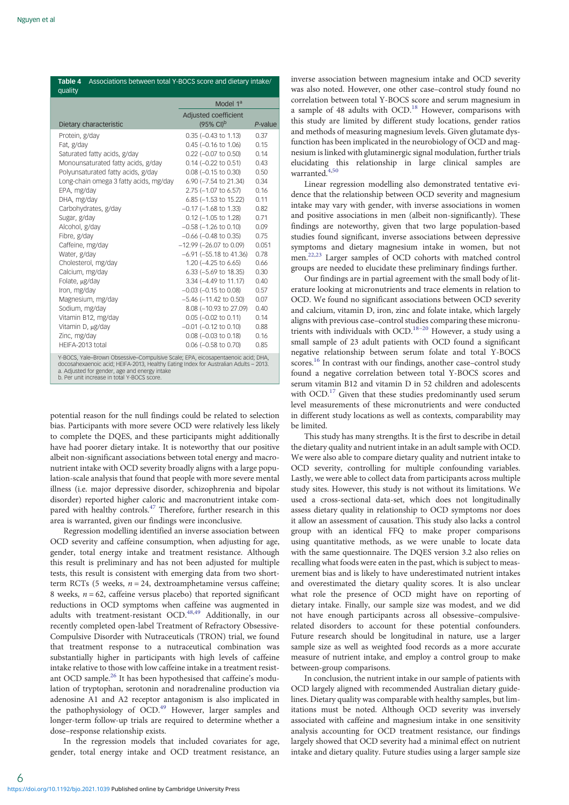<span id="page-5-0"></span>

| Table 4<br>Associations between total Y-BOCS score and dietary intake/<br>quality                                                                                                                                                                                       |                                               |         |  |  |  |
|-------------------------------------------------------------------------------------------------------------------------------------------------------------------------------------------------------------------------------------------------------------------------|-----------------------------------------------|---------|--|--|--|
|                                                                                                                                                                                                                                                                         | Model 1 <sup>a</sup>                          |         |  |  |  |
| Dietary characteristic                                                                                                                                                                                                                                                  | Adjusted coefficient<br>$(95\% \text{ Cl})^b$ | P-value |  |  |  |
| Protein, g/day                                                                                                                                                                                                                                                          | $0.35$ ( $-0.43$ to 1.13)                     | 0.37    |  |  |  |
| Fat, g/day                                                                                                                                                                                                                                                              | $0.45$ (-0.16 to 1.06)                        | 0.15    |  |  |  |
| Saturated fatty acids, g/day                                                                                                                                                                                                                                            | $0.22$ (-0.07 to 0.50)                        | 0.14    |  |  |  |
| Monounsaturated fatty acids, g/day                                                                                                                                                                                                                                      | $0.14$ (-0.22 to 0.51)                        | 0.43    |  |  |  |
| Polyunsaturated fatty acids, g/day                                                                                                                                                                                                                                      | $0.08$ (-0.15 to 0.30)                        | 0.50    |  |  |  |
| Long-chain omega 3 fatty acids, mg/day                                                                                                                                                                                                                                  | 6.90 (-7.54 to 21.34)                         | 0.34    |  |  |  |
| EPA, mg/day                                                                                                                                                                                                                                                             | 2.75 (-1.07 to 6.57)                          | 0.16    |  |  |  |
| DHA, mg/day                                                                                                                                                                                                                                                             | 6.85 (-1.53 to 15.22)                         | 0.11    |  |  |  |
| Carbohydrates, g/day                                                                                                                                                                                                                                                    | $-0.17$ ( $-1.68$ to 1.33)                    | 0.82    |  |  |  |
| Sugar, g/day                                                                                                                                                                                                                                                            | $0.12$ (-1.05 to 1.28)                        | 0.71    |  |  |  |
| Alcohol, g/day                                                                                                                                                                                                                                                          | $-0.58$ ( $-1.26$ to 0.10)                    | 0.09    |  |  |  |
| Fibre, g/day                                                                                                                                                                                                                                                            | $-0.66$ ( $-0.48$ to 0.35)                    | 0.75    |  |  |  |
| Caffeine, mg/day                                                                                                                                                                                                                                                        | $-12.99$ ( $-26.07$ to 0.09)                  | 0.051   |  |  |  |
| Water, g/day                                                                                                                                                                                                                                                            | $-6.91$ ( $-55.18$ to 41.36)                  | 0.78    |  |  |  |
| Cholesterol, mg/day                                                                                                                                                                                                                                                     | 1.20 (-4.25 to 6.65)                          | 0.66    |  |  |  |
| Calcium, mg/day                                                                                                                                                                                                                                                         | 6.33 (-5.69 to 18.35)                         | 0.30    |  |  |  |
| Folate, µg/day                                                                                                                                                                                                                                                          | 3.34 (-4.49 to 11.17)                         | 0.40    |  |  |  |
| Iron, mg/day                                                                                                                                                                                                                                                            | $-0.03$ ( $-0.15$ to 0.08)                    | 0.57    |  |  |  |
| Magnesium, mg/day                                                                                                                                                                                                                                                       | $-5.46$ ( $-11.42$ to 0.50)                   | 0.07    |  |  |  |
| Sodium, mg/day                                                                                                                                                                                                                                                          | 8.08 (-10.93 to 27.09)                        | 0.40    |  |  |  |
| Vitamin B12, mg/day                                                                                                                                                                                                                                                     | $0.05$ ( $-0.02$ to 0.11)                     | 0.14    |  |  |  |
| Vitamin D, µg/day                                                                                                                                                                                                                                                       | $-0.01$ $(-0.12$ to $0.10$                    | 0.88    |  |  |  |
| Zinc, mg/day                                                                                                                                                                                                                                                            | $0.08$ ( $-0.03$ to 0.18)                     | 0.16    |  |  |  |
| HFIFA-2013 total                                                                                                                                                                                                                                                        | $0.06$ (-0.58 to 0.70)                        | 0.85    |  |  |  |
| Y-BOCS, Yale-Brown Obsessive-Compulsive Scale; EPA, eicosapentaenoic acid; DHA,<br>docosahexaenoic acid; HEIFA-2013, Healthy Eating Index for Australian Adults - 2013.<br>a. Adjusted for gender, age and energy intake<br>b. Per unit increase in total Y-BOCS score. |                                               |         |  |  |  |

potential reason for the null findings could be related to selection bias. Participants with more severe OCD were relatively less likely to complete the DQES, and these participants might additionally have had poorer dietary intake. It is noteworthy that our positive albeit non-significant associations between total energy and macronutrient intake with OCD severity broadly aligns with a large population-scale analysis that found that people with more severe mental illness (i.e. major depressive disorder, schizophrenia and bipolar disorder) reported higher caloric and macronutrient intake com-pared with healthy controls.<sup>[47](#page-7-0)</sup> Therefore, further research in this area is warranted, given our findings were inconclusive.

Regression modelling identified an inverse association between OCD severity and caffeine consumption, when adjusting for age, gender, total energy intake and treatment resistance. Although this result is preliminary and has not been adjusted for multiple tests, this result is consistent with emerging data from two shortterm RCTs (5 weeks,  $n = 24$ , dextroamphetamine versus caffeine; 8 weeks,  $n = 62$ , caffeine versus placebo) that reported significant reductions in OCD symptoms when caffeine was augmented in adults with treatment-resistant OCD.<sup>[48,49](#page-7-0)</sup> Additionally, in our recently completed open-label Treatment of Refractory Obsessive-Compulsive Disorder with Nutraceuticals (TRON) trial, we found that treatment response to a nutraceutical combination was substantially higher in participants with high levels of caffeine intake relative to those with low caffeine intake in a treatment resist-ant OCD sample.<sup>[26](#page-7-0)</sup> It has been hypothesised that caffeine's modulation of tryptophan, serotonin and noradrenaline production via adenosine A1 and A2 receptor antagonism is also implicated in the pathophysiology of  $OCD.<sup>49</sup>$  $OCD.<sup>49</sup>$  $OCD.<sup>49</sup>$  However, larger samples and longer-term follow-up trials are required to determine whether a dose–response relationship exists.

In the regression models that included covariates for age, gender, total energy intake and OCD treatment resistance, an inverse association between magnesium intake and OCD severity was also noted. However, one other case–control study found no correlation between total Y-BOCS score and serum magnesium in a sample of 48 adults with OCD.<sup>[18](#page-6-0)</sup> However, comparisons with this study are limited by different study locations, gender ratios and methods of measuring magnesium levels. Given glutamate dysfunction has been implicated in the neurobiology of OCD and magnesium is linked with glutaminergic signal modulation, further trials elucidating this relationship in large clinical samples are warranted.<sup>[4](#page-6-0),[50](#page-7-0)</sup>

Linear regression modelling also demonstrated tentative evidence that the relationship between OCD severity and magnesium intake may vary with gender, with inverse associations in women and positive associations in men (albeit non-significantly). These findings are noteworthy, given that two large population-based studies found significant, inverse associations between depressive symptoms and dietary magnesium intake in women, but not men.[22,23](#page-6-0) Larger samples of OCD cohorts with matched control groups are needed to elucidate these preliminary findings further.

Our findings are in partial agreement with the small body of literature looking at micronutrients and trace elements in relation to OCD. We found no significant associations between OCD severity and calcium, vitamin D, iron, zinc and folate intake, which largely aligns with previous case–control studies comparing these micronu-trients with individuals with OCD.<sup>[18](#page-6-0)–[20](#page-6-0)</sup> However, a study using a small sample of 23 adult patients with OCD found a significant negative relationship between serum folate and total Y-BOCS scores.<sup>[16](#page-6-0)</sup> In contrast with our findings, another case-control study found a negative correlation between total Y-BOCS scores and serum vitamin B12 and vitamin D in 52 children and adolescents with OCD.<sup>[17](#page-6-0)</sup> Given that these studies predominantly used serum level measurements of these micronutrients and were conducted in different study locations as well as contexts, comparability may be limited.

This study has many strengths. It is the first to describe in detail the dietary quality and nutrient intake in an adult sample with OCD. We were also able to compare dietary quality and nutrient intake to OCD severity, controlling for multiple confounding variables. Lastly, we were able to collect data from participants across multiple study sites. However, this study is not without its limitations. We used a cross-sectional data-set, which does not longitudinally assess dietary quality in relationship to OCD symptoms nor does it allow an assessment of causation. This study also lacks a control group with an identical FFQ to make proper comparisons using quantitative methods, as we were unable to locate data with the same questionnaire. The DQES version 3.2 also relies on recalling what foods were eaten in the past, which is subject to measurement bias and is likely to have underestimated nutrient intakes and overestimated the dietary quality scores. It is also unclear what role the presence of OCD might have on reporting of dietary intake. Finally, our sample size was modest, and we did not have enough participants across all obsessive–compulsiverelated disorders to account for these potential confounders. Future research should be longitudinal in nature, use a larger sample size as well as weighted food records as a more accurate measure of nutrient intake, and employ a control group to make between-group comparisons.

In conclusion, the nutrient intake in our sample of patients with OCD largely aligned with recommended Australian dietary guidelines. Dietary quality was comparable with healthy samples, but limitations must be noted. Although OCD severity was inversely associated with caffeine and magnesium intake in one sensitivity analysis accounting for OCD treatment resistance, our findings largely showed that OCD severity had a minimal effect on nutrient intake and dietary quality. Future studies using a larger sample size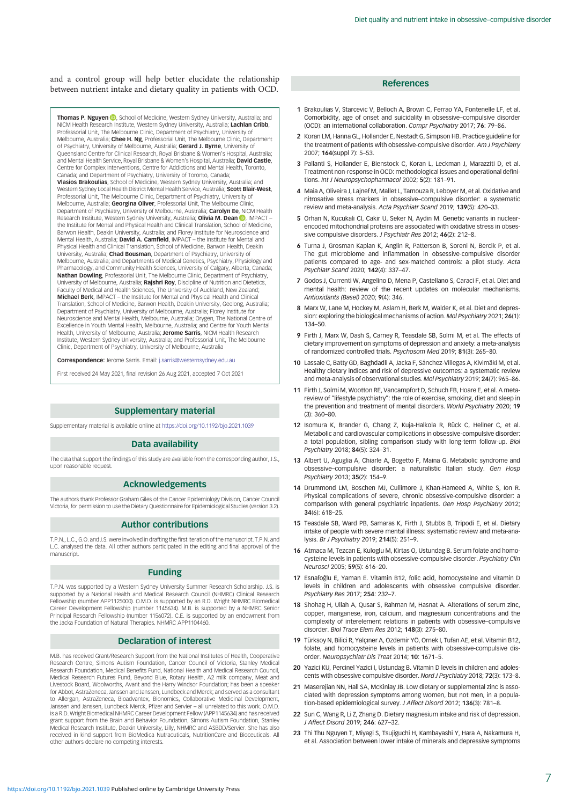<span id="page-6-0"></span>and a control group will help better elucidate the relationship between nutrient intake and dietary quality in patients with OCD.

Thomas P. Nguyen (D)[,](https://orcid.org/0000-0002-7691-4461) School of Medicine, Western Sydney University, Australia; and NICM Health Research Institute, Western Sydney University, Australia; **Lachlan Cribb,**<br>Professorial Unit, The Melbourne Clinic, Department of Psychiatry, University of Melbourne, Australia; Chee H. Ng, Professorial Unit, The Melbourne Clinic, Department of Psychiatry, University of Melbourne, Australia; **Gerard J. Byrne**, University of<br>Queensland Centre for Clinical Research, Royal Brisbane & Women's Hospital, Australia; and Mental Health Service, Royal Brisbane & Women's Hospital, Australia; David Castle, Centre for Complex Interventions, Centre for Addictions and Mental Health, Toronto, Canada; and Department of Psychiatry, University of Toronto, Canada; Vlasios Brakoulias, School of Medicine, Western Sydney University, Australia; and Western Sydney Local Health District Mental Health Service, Australia; Scott Blair-West, Professorial Unit, The Melbourne Clinic, Department of Psychiatry, University of Melbourne, Australia; Georgina Oliver, Professorial Unit, The Melbourne Clinic, Department of Psychiatry[,](https://orcid.org/0000-0002-2776-3935) University of Melbourne, Australia; **Carolyn Ee**, NICM Health<br>Research Institute, Western Sydney University, Australia; **Olivia M. Dean ©**, IMPACT – the Institute for Mental and Physical Health and Clinical Translation, School of Medicine, Barwon Health, Deakin University, Australia; and Florey Institute for Neuroscience and<br>Mental Health, Australia; **David A. Camfield**, IMPACT – the Institute for Mental and Physical Health and Clinical Translation, School of Medicine, Barwon Health, Deakin University, Australia; Chad Bousman, Department of Psychiatry, University of Melbourne, Australia; and Departments of Medical Genetics, Psychiatry, Physiology and Pharmacology, and Community Health Sciences, University of Calgary, Alberta, Canada; Nathan Dowling, Professorial Unit, The Melbourne Clinic, Department of Psychiatry, University of Melbourne, Australia; Rajshri Roy, Discipline of Nutrition and Dietetics, Faculty of Medical and Health Sciences, The University of Auckland, New Zealand; Michael Berk, IMPACT – the Institute for Mental and Physical Health and Clinical Translation, School of Medicine, Barwon Health, Deakin University, Geelong, Australia; Department of Psychiatry, University of Melbourne, Australia; Florey Institute for Neuroscience and Mental Health, Melbourne, Australia; Orygen, The National Centre of Excellence in Youth Mental Health, Melbourne, Australia; and Centre for Youth Mental Health, University of Melbourne, Australia; Jerome Sarris, NICM Health Research Institute, Western Sydney University, Australia; and Professorial Unit, The Melbourne Clinic, Department of Psychiatry, University of Melbourne, Australia

Correspondence: Jerome Sarris. Email: [j.sarris@westernsydney.edu.au](mailto:j.sarris@westernsydney.edu.au)

First received 24 May 2021, final revision 26 Aug 2021, accepted 7 Oct 2021

## Supplementary material

Supplementary material is available online at <https://doi.org/10.1192/bjo.2021.1039>

## Data availability

The data that support the findings of this study are available from the corresponding author, J.S., upon reasonable request.

# Acknowledgements

The authors thank Professor Graham Giles of the Cancer Epidemiology Division, Cancer Council Victoria, for permission to use the Dietary Questionnaire for Epidemiological Studies (version 3.2).

## Author contributions

T.P.N., L.C., G.O. and J.S. were involved in drafting the first iteration of the manuscript. T.P.N. and L.C. analysed the data. All other authors participated in the editing and final approval of the manuscript.

#### Funding

T.P.N. was supported by a Western Sydney University Summer Research Scholarship. J.S. is supported by a National Health and Medical Research Council (NHMRC) Clinical Research Fellowship (number APP1125000). O.M.D. is supported by an R.D. Wright NHMRC Biomedical Career Development Fellowship (number 1145634). M.B. is supported by a NHMRC Senior Principal Research Fellowship (number 1156072). C.E. is supported by an endowment from the Jacka Foundation of Natural Therapies. NHMRC APP1104460.

## Declaration of interest

M.B. has received Grant/Research Support from the National Institutes of Health, Cooperative Research Centre, Simons Autism Foundation, Cancer Council of Victoria, Stanley Medical Research Foundation, Medical Benefits Fund, National Health and Medical Research Council, Medical Research Futures Fund, Beyond Blue, Rotary Health, A2 milk company, Meat and Livestock Board, Woolworths, Avant and the Harry Windsor Foundation; has been a speaker for Abbot, AstraZeneca, Janssen and Janssen, Lundbeck and Merck; and served as a consultant to Allergan, AstraZeneca, Bioadvantex, Bionomics, Collaborative Medicinal Development, Janssen and Janssen, Lundbeck Merck, Pfizer and Servier – all unrelated to this work. O.M.D. is a R.D. Wright Biomedical NHMRC Career Development Fellow (APP1145634) and has received grant support from the Brain and Behavior Foundation, Simons Autism Foundation, Stanley Medical Research Institute, Deakin University, Lilly, NHMRC and ASBDD/Servier. She has also received in kind support from BioMedica Nutracuticals, NutritionCare and Bioceuticals. All other authors declare no competing interests.

## References

- 1 Brakoulias V, Starcevic V, Belloch A, Brown C, Ferrao YA, Fontenelle LF, et al. Comorbidity, age of onset and suicidality in obsessive–compulsive disorder (OCD): an international collaboration. Compr Psychiatry 2017; 76: 79–86.
- 2 Koran LM, Hanna GL, Hollander E, Nestadt G, Simpson HB. Practice guideline for the treatment of patients with obsessive-compulsive disorder. Am J Psychiatry 2007; 164(suppl 7): 5–53.
- 3 Pallanti S, Hollander E, Bienstock C, Koran L, Leckman J, Marazziti D, et al. Treatment non-response in OCD: methodological issues and operational definitions. Int J Neuropsychopharmacol 2002; 5(2): 181–91.
- 4 Maia A, Oliveira J, Lajnef M, Mallet L, Tamouza R, Leboyer M, et al. Oxidative and nitrosative stress markers in obsessive–compulsive disorder: a systematic review and meta-analysis. Acta Psychiatr Scand 2019; 139(5): 420–33.
- 5 Orhan N, Kucukali CI, Cakir U, Seker N, Aydin M. Genetic variants in nuclearencoded mitochondrial proteins are associated with oxidative stress in obsessive compulsive disorders. J Psychiatr Res 2012; 46(2): 212–8.
- 6 Turna J, Grosman Kaplan K, Anglin R, Patterson B, Soreni N, Bercik P, et al. The gut microbiome and inflammation in obsessive-compulsive disorder patients compared to age- and sex-matched controls: a pilot study. Acta Psychiatr Scand 2020; 142(4): 337–47.
- 7 Godos J, Currenti W, Angelino D, Mena P, Castellano S, Caraci F, et al. Diet and mental health: review of the recent updates on molecular mechanisms. Antioxidants (Basel) 2020; 9(4): 346.
- 8 Marx W, Lane M, Hockey M, Aslam H, Berk M, Walder K, et al. Diet and depression: exploring the biological mechanisms of action. Mol Psychiatry 2021; 26(1): 134–50.
- 9 Firth J, Marx W, Dash S, Carney R, Teasdale SB, Solmi M, et al. The effects of dietary improvement on symptoms of depression and anxiety: a meta-analysis of randomized controlled trials. Psychosom Med 2019; 81(3): 265–80.
- 10 Lassale C, Batty GD, Baghdadli A, Jacka F, Sánchez-Villegas A, Kivimäki M, et al. Healthy dietary indices and risk of depressive outcomes: a systematic review and meta-analysis of observational studies. Mol Psychiatry 2019; 24(7): 965–86.
- 11 Firth J, Solmi M, Wootton RE, Vancampfort D, Schuch FB, Hoare E, et al. A metareview of "lifestyle psychiatry": the role of exercise, smoking, diet and sleep in the prevention and treatment of mental disorders. World Psychiatry 2020; 19 (3): 360–80.
- 12 Isomura K, Brander G, Chang Z, Kuja-Halkola R, Rück C, Hellner C, et al. Metabolic and cardiovascular complications in obsessive-compulsive disorder: a total population, sibling comparison study with long-term follow-up. Biol Psychiatry 2018; 84(5): 324–31.
- 13 Albert U, Aguglia A, Chiarle A, Bogetto F, Maina G. Metabolic syndrome and obsessive–compulsive disorder: a naturalistic Italian study. Gen Hosp Psychiatry 2013; 35(2): 154–9.
- 14 Drummond LM, Boschen MJ, Cullimore J, Khan-Hameed A, White S, Ion R. Physical complications of severe, chronic obsessive-compulsive disorder: a comparison with general psychiatric inpatients. Gen Hosp Psychiatry 2012; 34(6): 618–25.
- 15 Teasdale SB, Ward PB, Samaras K, Firth J, Stubbs B, Tripodi E, et al. Dietary intake of people with severe mental illness: systematic review and meta-analysis. Br J Psychiatry 2019; 214(5): 251–9.
- 16 Atmaca M, Tezcan E, Kuloglu M, Kirtas O, Ustundag B. Serum folate and homocysteine levels in patients with obsessive-compulsive disorder. Psychiatry Clin Neurosci 2005; 59(5): 616–20.
- 17 Esnafoğlu E, Yaman E. Vitamin B12, folic acid, homocysteine and vitamin D levels in children and adolescents with obsessive compulsive disorder. Psychiatry Res 2017; 254: 232–7.
- 18 Shohag H, Ullah A, Qusar S, Rahman M, Hasnat A. Alterations of serum zinc, copper, manganese, iron, calcium, and magnesium concentrations and the complexity of interelement relations in patients with obsessive–compulsive disorder. Biol Trace Elem Res 2012; 148(3): 275–80.
- 19 Türksoy N, Bilici R, Yalçıner A, Ozdemir YÖ, Ornek I, Tufan AE, et al. Vitamin B12, folate, and homocysteine levels in patients with obsessive-compulsive disorder. Neuropsychiatr Dis Treat 2014; 10: 1671–5.
- 20 Yazici KU, Percinel Yazici I, Ustundag B. Vitamin D levels in children and adolescents with obsessive compulsive disorder. Nord J Psychiatry 2018; 72(3): 173–8.
- 21 Maserejian NN, Hall SA, McKinlay JB, Low dietary or supplemental zinc is associated with depression symptoms among women, but not men, in a population-based epidemiological survey. J Affect Disord 2012; 136(3): 781–8.
- 22 Sun C, Wang R, Li Z, Zhang D. Dietary magnesium intake and risk of depression. J Affect Disord 2019; 246: 627–32.
- 23 Thi Thu Nguyen T, Miyagi S, Tsujiguchi H, Kambayashi Y, Hara A, Nakamura H, et al. Association between lower intake of minerals and depressive symptoms